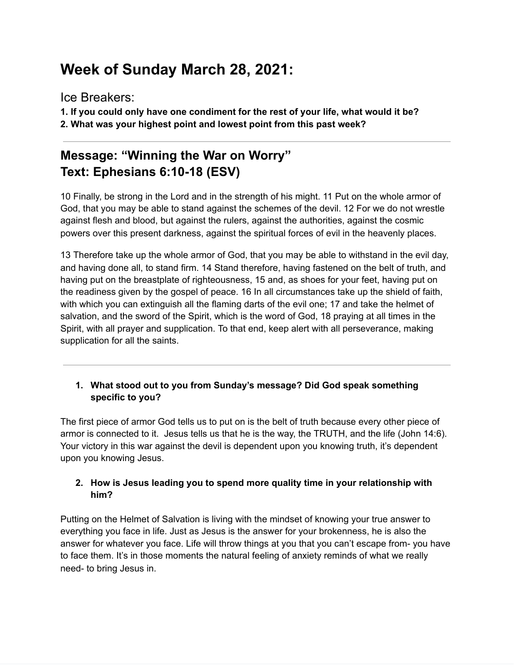# **Week of Sunday March 28, 2021:**

Ice Breakers:

**1. If you could only have one condiment for the rest of your life, what would it be?**

**2. What was your highest point and lowest point from this past week?**

## **Message: "Winning the War on Worry" Text: Ephesians 6:10-18 (ESV)**

10 Finally, be strong in the Lord and in the strength of his might. 11 Put on the whole armor of God, that you may be able to stand against the schemes of the devil. 12 For we do not wrestle against flesh and blood, but against the rulers, against the authorities, against the cosmic powers over this present darkness, against the spiritual forces of evil in the heavenly places.

13 Therefore take up the whole armor of God, that you may be able to withstand in the evil day, and having done all, to stand firm. 14 Stand therefore, having fastened on the belt of truth, and having put on the breastplate of righteousness, 15 and, as shoes for your feet, having put on the readiness given by the gospel of peace. 16 In all circumstances take up the shield of faith, with which you can extinguish all the flaming darts of the evil one; 17 and take the helmet of salvation, and the sword of the Spirit, which is the word of God, 18 praying at all times in the Spirit, with all prayer and supplication. To that end, keep alert with all perseverance, making supplication for all the saints.

### **1. What stood out to you from Sunday's message? Did God speak something specific to you?**

The first piece of armor God tells us to put on is the belt of truth because every other piece of armor is connected to it. Jesus tells us that he is the way, the TRUTH, and the life (John 14:6). Your victory in this war against the devil is dependent upon you knowing truth, it's dependent upon you knowing Jesus.

### **2. How is Jesus leading you to spend more quality time in your relationship with him?**

Putting on the Helmet of Salvation is living with the mindset of knowing your true answer to everything you face in life. Just as Jesus is the answer for your brokenness, he is also the answer for whatever you face. Life will throw things at you that you can't escape from- you have to face them. It's in those moments the natural feeling of anxiety reminds of what we really need- to bring Jesus in.